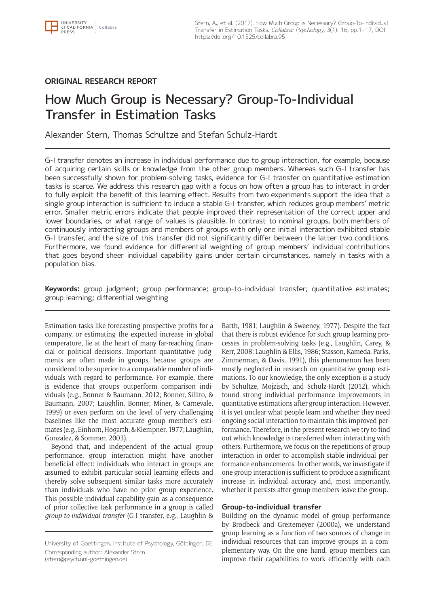

# **ORIGINAL RESEARCH REPORT**

# How Much Group is Necessary? Group-To-Individual Transfer in Estimation Tasks

Alexander Stern, Thomas Schultze and Stefan Schulz-Hardt

G-I transfer denotes an increase in individual performance due to group interaction, for example, because of acquiring certain skills or knowledge from the other group members. Whereas such G-I transfer has been successfully shown for problem-solving tasks, evidence for G-I transfer on quantitative estimation tasks is scarce. We address this research gap with a focus on how often a group has to interact in order to fully exploit the benefit of this learning effect. Results from two experiments support the idea that a single group interaction is sufficient to induce a stable G-I transfer, which reduces group members' metric error. Smaller metric errors indicate that people improved their representation of the correct upper and lower boundaries, or what range of values is plausible. In contrast to nominal groups, both members of continuously interacting groups and members of groups with only one initial interaction exhibited stable G-I transfer, and the size of this transfer did not significantly differ between the latter two conditions. Furthermore, we found evidence for differential weighting of group members' individual contributions that goes beyond sheer individual capability gains under certain circumstances, namely in tasks with a population bias.

**Keywords:** group judgment; group performance; group-to-individual transfer; quantitative estimates; group learning; differential weighting

Estimation tasks like forecasting prospective profits for a company, or estimating the expected increase in global temperature, lie at the heart of many far-reaching financial or political decisions. Important quantitative judgments are often made in groups, because groups are considered to be superior to a comparable number of individuals with regard to performance. For example, there is evidence that groups outperform comparison individuals (e.g., Bonner & Baumann, 2012; Bonner, Sillito, & Baumann, 2007; Laughlin, Bonner, Miner, & Carnevale, 1999) or even perform on the level of very challenging baselines like the most accurate group member's estimates (e.g., Einhorn, Hogarth, & Klempner, 1977; Laughlin, Gonzalez, & Sommer, 2003).

Beyond that, and independent of the actual group performance, group interaction might have another beneficial effect: individuals who interact in groups are assumed to exhibit particular social learning effects and thereby solve subsequent similar tasks more accurately than individuals who have no prior group experience. This possible individual capability gain as a consequence of prior collective task performance in a group is called *group-to-individual transfer* (G-I transfer, e.g., Laughlin &

University of Goettingen, Institute of Psychology, Göttingen, DE Corresponding author: Alexander Stern [\(stern@psych.uni-goettingen.de\)](mailto:stern@psych.uni-goettingen.de)

Barth, 1981; Laughlin & Sweeney, 1977). Despite the fact that there is robust evidence for such group learning processes in problem-solving tasks (e.g., Laughlin, Carey, & Kerr, 2008; Laughlin & Ellis, 1986; Stasson, Kameda, Parks, Zimmerman, & Davis, 1991), this phenomenon has been mostly neglected in research on quantitative group estimations. To our knowledge, the only exception is a study by Schultze, Mojzisch, and Schulz-Hardt (2012), which found strong individual performance improvements in quantitative estimations after group interaction. However, it is yet unclear what people learn and whether they need ongoing social interaction to maintain this improved performance. Therefore, in the present research we try to find out which knowledge is transferred when interacting with others. Furthermore, we focus on the repetitions of group interaction in order to accomplish stable individual performance enhancements. In other words, we investigate if one group interaction is sufficient to produce a significant increase in individual accuracy and, most importantly, whether it persists after group members leave the group.

# **Group-to-individual transfer**

Building on the dynamic model of group performance by Brodbeck and Greitemeyer (2000a), we understand group learning as a function of two sources of change in individual resources that can improve groups in a complementary way. On the one hand, group members can improve their capabilities to work efficiently with each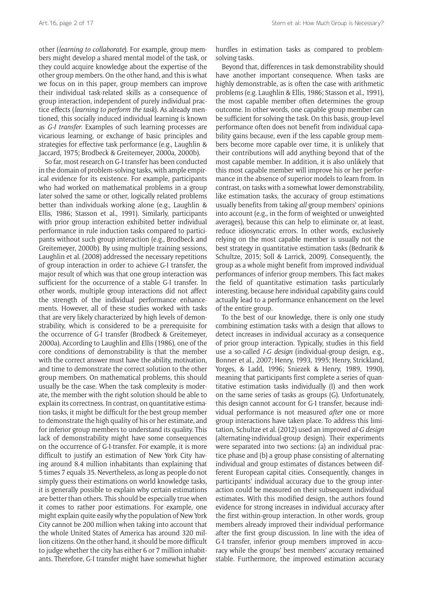other (*learning to collaborate*). For example, group members might develop a shared mental model of the task, or they could acquire knowledge about the expertise of the other group members. On the other hand, and this is what we focus on in this paper, group members can improve their individual task-related skills as a consequence of group interaction, independent of purely individual practice effects (*learning to perform the task*). As already mentioned, this socially induced individual learning is known as *G-I transfer*. Examples of such learning processes are vicarious learning, or exchange of basic principles and strategies for effective task performance (e.g., Laughlin & Jaccard, 1975; Brodbeck & Greitemeyer, 2000a, 2000b).

So far, most research on G-I transfer has been conducted in the domain of problem-solving tasks, with ample empirical evidence for its existence. For example, participants who had worked on mathematical problems in a group later solved the same or other, logically related problems better than individuals working alone (e.g., Laughlin & Ellis, 1986; Stasson et al., 1991). Similarly, participants with prior group interaction exhibited better individual performance in rule induction tasks compared to participants without such group interaction (e.g., Brodbeck and Greitemeyer, 2000b). By using multiple training sessions, Laughlin et al. (2008) addressed the necessary repetitions of group interaction in order to achieve G-I transfer, the major result of which was that one group interaction was sufficient for the occurrence of a stable G-I transfer. In other words, multiple group interactions did not affect the strength of the individual performance enhancements. However, all of these studies worked with tasks that are very likely characterized by high levels of demonstrability, which is considered to be a prerequisite for the occurrence of G-I transfer (Brodbeck & Greitemeyer, 2000a). According to Laughlin and Ellis (1986), one of the core conditions of demonstrability is that the member with the correct answer must have the ability, motivation, and time to demonstrate the correct solution to the other group members. On mathematical problems, this should usually be the case. When the task complexity is moderate, the member with the right solution should be able to explain its correctness. In contrast, on quantitative estimation tasks, it might be difficult for the best group member to demonstrate the high quality of his or her estimate, and for inferior group members to understand its quality. This lack of demonstrability might have some consequences on the occurrence of G-I-transfer. For example, it is more difficult to justify an estimation of New York City having around 8.4 million inhabitants than explaining that 5 times 7 equals 35. Nevertheless, as long as people do not simply guess their estimations on world knowledge tasks, it is generally possible to explain why certain estimations are better than others. This should be especially true when it comes to rather poor estimations. For example, one might explain quite easily why the population of New York City cannot be 200 million when taking into account that the whole United States of America has around 320 million citizens. On the other hand, it should be more difficult to judge whether the city has either 6 or 7 million inhabitants. Therefore, G-I transfer might have somewhat higher

hurdles in estimation tasks as compared to problemsolving tasks.

Beyond that, differences in task demonstrability should have another important consequence. When tasks are highly demonstrable, as is often the case with arithmetic problems (e.g. Laughlin & Ellis, 1986; Stasson et al., 1991), the most capable member often determines the group outcome. In other words, one capable group member can be sufficient for solving the task. On this basis, group-level performance often does not benefit from individual capability gains because, even if the less capable group members become more capable over time, it is unlikely that their contributions will add anything beyond that of the most capable member. In addition, it is also unlikely that this most capable member will improve his or her performance in the absence of superior models to learn from. In contrast, on tasks with a somewhat lower demonstrability, like estimation tasks, the accuracy of group estimations usually benefits from taking *all* group members' opinions into account (e.g., in the form of weighted or unweighted averages), because this can help to eliminate or, at least, reduce idiosyncratic errors. In other words, exclusively relying on the most capable member is usually not the best strategy in quantitative estimation tasks (Bednarik & Schultze, 2015; Soll & Larrick, 2009). Consequently, the group as a whole might benefit from improved individual performances of inferior group members. This fact makes the field of quantitative estimation tasks particularly interesting, because here individual capability gains could actually lead to a performance enhancement on the level of the entire group.

To the best of our knowledge, there is only one study combining estimation tasks with a design that allows to detect increases in individual accuracy as a consequence of prior group interaction. Typically, studies in this field use a so-called *I-G design* (individual-group design, e.g., Bonner et al., 2007; Henry, 1993, 1995; Henry, Strickland, Yorges, & Ladd, 1996; Sniezek & Henry, 1989, 1990), meaning that participants first complete a series of quantitative estimation tasks individually (I) and then work on the same series of tasks as groups (G). Unfortunately, this design cannot account for G-I transfer, because individual performance is not measured *after* one or more group interactions have taken place. To address this limitation, Schultze et al. (2012) used an improved *aI-G design* (alternating-individual-group design). Their experiments were separated into two sections: (a) an individual practice phase and (b) a group phase consisting of alternating individual and group estimates of distances between different European capital cities. Consequently, changes in participants' individual accuracy due to the group interaction could be measured on their subsequent individual estimates. With this modified design, the authors found evidence for strong increases in individual accuracy after the first within-group interaction. In other words, group members already improved their individual performance after the first group discussion. In line with the idea of G-I transfer, inferior group members improved in accuracy while the groups' best members' accuracy remained stable. Furthermore, the improved estimation accuracy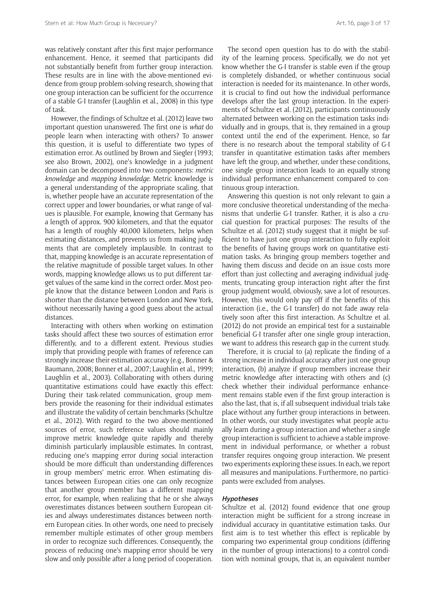was relatively constant after this first major performance enhancement. Hence, it seemed that participants did not substantially benefit from further group interaction. These results are in line with the above-mentioned evidence from group problem-solving research, showing that one group interaction can be sufficient for the occurrence of a stable G-I transfer (Laughlin et al., 2008) in this type of task.

However, the findings of Schultze et al. (2012) leave two important question unanswered. The first one is *what* do people learn when interacting with others? To answer this question, it is useful to differentiate two types of estimation error. As outlined by Brown and Siegler (1993; see also Brown, 2002), one's knowledge in a judgment domain can be decomposed into two components: *metric knowledge* and *mapping knowledge*. Metric knowledge is a general understanding of the appropriate scaling, that is, whether people have an accurate representation of the correct upper and lower boundaries, or what range of values is plausible. For example, knowing that Germany has a length of approx. 900 kilometers, and that the equator has a length of roughly 40,000 kilometers, helps when estimating distances, and prevents us from making judgments that are completely implausible. In contrast to that, mapping knowledge is an accurate representation of the relative magnitude of possible target values. In other words, mapping knowledge allows us to put different target values of the same kind in the correct order. Most people know that the distance between London and Paris is shorter than the distance between London and New York, without necessarily having a good guess about the actual distances.

Interacting with others when working on estimation tasks should affect these two sources of estimation error differently, and to a different extent. Previous studies imply that providing people with frames of reference can strongly increase their estimation accuracy (e.g., Bonner & Baumann, 2008; Bonner et al., 2007; Laughlin et al., 1999; Laughlin et al., 2003). Collaborating with others during quantitative estimations could have exactly this effect: During their task-related communication, group members provide the reasoning for their individual estimates and illustrate the validity of certain benchmarks (Schultze et al., 2012). With regard to the two above-mentioned sources of error, such reference values should mainly improve metric knowledge quite rapidly and thereby diminish particularly implausible estimates. In contrast, reducing one's mapping error during social interaction should be more difficult than understanding differences in group members' metric error. When estimating distances between European cities one can only recognize that another group member has a different mapping error, for example, when realizing that he or she always overestimates distances between southern European cities and always underestimates distances between northern European cities. In other words, one need to precisely remember multiple estimates of other group members in order to recognize such differences. Consequently, the process of reducing one's mapping error should be very slow and only possible after a long period of cooperation.

The second open question has to do with the stability of the learning process. Specifically, we do not yet know whether the G-I transfer is stable even if the group is completely disbanded, or whether continuous social interaction is needed for its maintenance. In other words, it is crucial to find out how the individual performance develops after the last group interaction. In the experiments of Schultze et al. (2012), participants continuously alternated between working on the estimation tasks individually and in groups, that is, they remained in a group context until the end of the experiment. Hence, so far there is no research about the temporal stability of G-I transfer in quantitative estimation tasks after members have left the group, and whether, under these conditions, one single group interaction leads to an equally strong individual performance enhancement compared to continuous group interaction.

Answering this question is not only relevant to gain a more conclusive theoretical understanding of the mechanisms that underlie G-I transfer. Rather, it is also a crucial question for practical purposes: The results of the Schultze et al. (2012) study suggest that it might be sufficient to have just one group interaction to fully exploit the benefits of having groups work on quantitative estimation tasks. As bringing group members together and having them discuss and decide on an issue costs more effort than just collecting and averaging individual judgments, truncating group interaction right after the first group judgment would, obviously, save a lot of resources. However, this would only pay off if the benefits of this interaction (i.e., the G-I transfer) do not fade away relatively soon after this first interaction. As Schultze et al. (2012) do not provide an empirical test for a sustainable beneficial G-I transfer after one single group interaction, we want to address this research gap in the current study.

Therefore, it is crucial to (a) replicate the finding of a strong increase in individual accuracy after just one group interaction, (b) analyze if group members increase their metric knowledge after interacting with others and (c) check whether their individual performance enhancement remains stable even if the first group interaction is also the last, that is, if all subsequent individual trials take place without any further group interactions in between. In other words, our study investigates what people actually learn during a group interaction and whether a single group interaction is sufficient to achieve a stable improvement in individual performance, or whether a robust transfer requires ongoing group interaction. We present two experiments exploring these issues. In each, we report all measures and manipulations. Furthermore, no participants were excluded from analyses.

# **Hypotheses**

Schultze et al. (2012) found evidence that one group interaction might be sufficient for a strong increase in individual accuracy in quantitative estimation tasks. Our first aim is to test whether this effect is replicable by comparing two experimental group conditions (differing in the number of group interactions) to a control condition with nominal groups, that is, an equivalent number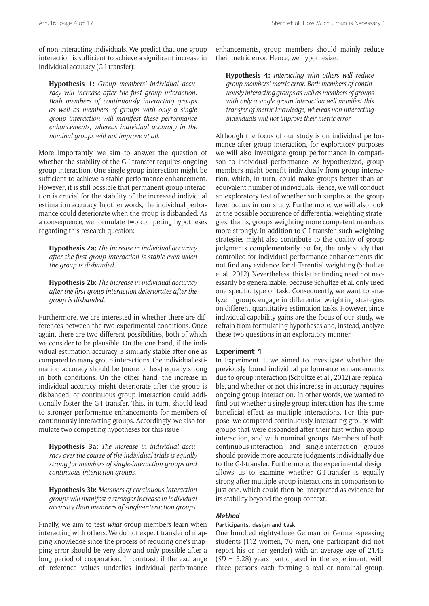of non-interacting individuals. We predict that one group interaction is sufficient to achieve a significant increase in individual accuracy (G-I transfer):

**Hypothesis 1:** *Group members' individual accuracy will increase after the first group interaction. Both members of continuously interacting groups as well as members of groups with only a single group interaction will manifest these performance enhancements, whereas individual accuracy in the nominal groups will not improve at all.*

More importantly, we aim to answer the question of whether the stability of the G-I transfer requires ongoing group interaction. One single group interaction might be sufficient to achieve a stable performance enhancement. However, it is still possible that permanent group interaction is crucial for the stability of the increased individual estimation accuracy. In other words, the individual performance could deteriorate when the group is disbanded. As a consequence, we formulate two competing hypotheses regarding this research question:

**Hypothesis 2a:** *The increase in individual accuracy after the first group interaction is stable even when the group is disbanded.*

**Hypothesis 2b:** *The increase in individual accuracy after the first group interaction deteriorates after the group is disbanded.*

Furthermore, we are interested in whether there are differences between the two experimental conditions. Once again, there are two different possibilities, both of which we consider to be plausible. On the one hand, if the individual estimation accuracy is similarly stable after one as compared to many group interactions, the individual estimation accuracy should be (more or less) equally strong in both conditions. On the other hand, the increase in individual accuracy might deteriorate after the group is disbanded, or continuous group interaction could additionally foster the G-I transfer. This, in turn, should lead to stronger performance enhancements for members of continuously interacting groups. Accordingly, we also formulate two competing hypotheses for this issue:

**Hypothesis 3a:** *The increase in individual accuracy over the course of the individual trials is equally strong for members of single-interaction groups and continuous-interaction groups.*

**Hypothesis 3b:** *Members of continuous-interaction groups will manifest a stronger increase in individual accuracy than members of single-interaction groups.*

Finally, we aim to test *what* group members learn when interacting with others. We do not expect transfer of mapping knowledge since the process of reducing one's mapping error should be very slow and only possible after a long period of cooperation. In contrast, if the exchange of reference values underlies individual performance enhancements, group members should mainly reduce their metric error. Hence, we hypothesize:

**Hypothesis 4:** *Interacting with others will reduce group members' metric error. Both members of continuously interacting groups as well as members of groups with only a single group interaction will manifest this transfer of metric knowledge, whereas non-interacting individuals will not improve their metric error.*

Although the focus of our study is on individual performance after group interaction, for exploratory purposes we will also investigate group performance in comparison to individual performance. As hypothesized, group members might benefit individually from group interaction, which, in turn, could make groups better than an equivalent number of individuals. Hence, we will conduct an exploratory test of whether such surplus at the group level occurs in our study. Furthermore, we will also look at the possible occurrence of differential weighting strategies, that is, groups weighting more competent members more strongly. In addition to G-I transfer, such weighting strategies might also contribute to the quality of group judgments complementarily. So far, the only study that controlled for individual performance enhancements did not find any evidence for differential weighting (Schultze et al., 2012). Nevertheless, this latter finding need not necessarily be generalizable, because Schultze et al. only used one specific type of task. Consequently, we want to analyze if groups engage in differential weighting strategies on different quantitative estimation tasks. However, since individual capability gains are the focus of our study, we refrain from formulating hypotheses and, instead, analyze these two questions in an exploratory manner.

#### **Experiment 1**

In Experiment 1, we aimed to investigate whether the previously found individual performance enhancements due to group interaction (Schultze et al., 2012) are replicable, and whether or not this increase in accuracy requires ongoing group interaction. In other words, we wanted to find out whether a single group interaction has the same beneficial effect as multiple interactions. For this purpose, we compared continuously interacting groups with groups that were disbanded after their first within-group interaction, and with nominal groups. Members of both continuous-interaction and single-interaction groups should provide more accurate judgments individually due to the G-I-transfer. Furthermore, the experimental design allows us to examine whether G-I-transfer is equally strong after multiple group interactions in comparison to just one, which could then be interpreted as evidence for its stability beyond the group context.

## **Method**

### Participants, design and task

One hundred eighty-three German or German-speaking students (112 women, 70 men, one participant did not report his or her gender) with an average age of 21.43 (*SD* = 3.28) years participated in the experiment, with three persons each forming a real or nominal group.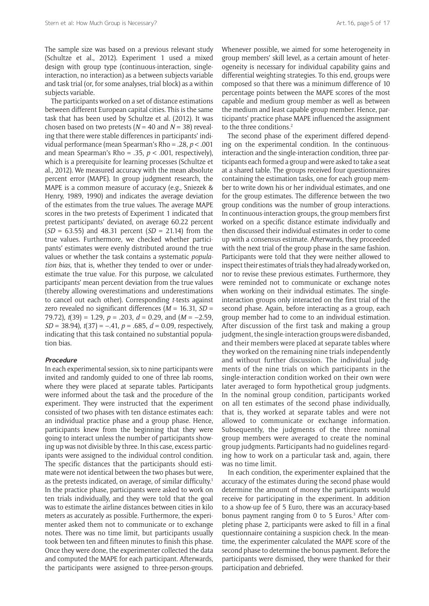The sample size was based on a previous relevant study (Schultze et al., 2012). Experiment 1 used a mixed design with group type (continuous-interaction, singleinteraction, no interaction) as a between subjects variable and task trial (or, for some analyses, trial block) as a within subjects variable.

The participants worked on a set of distance estimations between different European capital cities. This is the same task that has been used by Schultze et al. (2012). It was chosen based on two pretests  $(N = 40$  and  $N = 38)$  revealing that there were stable differences in participants' individual performance (mean Spearman's Rho = .28, *p* < .001 and mean Spearman's Rho = .35, *p* < .001, respectively), which is a prerequisite for learning processes (Schultze et al., 2012). We measured accuracy with the mean absolute percent error (MAPE). In group judgment research, the MAPE is a common measure of accuracy (e.g., Sniezek & Henry, 1989, 1990) and indicates the average deviation of the estimates from the true values. The average MAPE scores in the two pretests of Experiment 1 indicated that pretest participants' deviated, on average 60.22 percent (*SD* = 63.55) and 48.31 percent (*SD* = 21.14) from the true values. Furthermore, we checked whether participants' estimates were evenly distributed around the true values or whether the task contains a systematic *population bias*, that is, whether they tended to over or underestimate the true value. For this purpose, we calculated participants' mean percent deviation from the true values (thereby allowing overestimations and underestimations to cancel out each other). Corresponding *t*-tests against zero revealed no significant differences (*M* = 16.31, *SD* = 79.72), *t*(39) = 1.29, *p* = .203, *d* = 0.29, and (*M* = –2.59, *SD* = 38.94),  $t(37) = -.41$ ,  $p = .685$ ,  $d = 0.09$ , respectively, indicating that this task contained no substantial population bias.

## **Procedure**

In each experimental session, six to nine participants were invited and randomly guided to one of three lab rooms, where they were placed at separate tables. Participants were informed about the task and the procedure of the experiment. They were instructed that the experiment consisted of two phases with ten distance estimates each: an individual practice phase and a group phase. Hence, participants knew from the beginning that they were going to interact unless the number of participants showing up was not divisible by three. In this case, excess participants were assigned to the individual control condition. The specific distances that the participants should estimate were not identical between the two phases but were, as the pretests indicated, on average, of similar difficulty.1 In the practice phase, participants were asked to work on ten trials individually, and they were told that the goal was to estimate the airline distances between cities in kilo meters as accurately as possible. Furthermore, the experimenter asked them not to communicate or to exchange notes. There was no time limit, but participants usually took between ten and fifteen minutes to finish this phase. Once they were done, the experimenter collected the data and computed the MAPE for each participant. Afterwards, the participants were assigned to three-person-groups.

Whenever possible, we aimed for some heterogeneity in group members' skill level, as a certain amount of heterogeneity is necessary for individual capability gains and differential weighting strategies. To this end, groups were composed so that there was a minimum difference of 10 percentage points between the MAPE scores of the most capable and medium group member as well as between the medium and least capable group member. Hence, participants' practice phase MAPE influenced the assignment to the three conditions.<sup>2</sup>

The second phase of the experiment differed depending on the experimental condition. In the continuousinteraction and the single-interaction condition, three participants each formed a group and were asked to take a seat at a shared table. The groups received four questionnaires containing the estimation tasks, one for each group member to write down his or her individual estimates, and one for the group estimates. The difference between the two group conditions was the number of group interactions. In continuous-interaction groups, the group members first worked on a specific distance estimate individually and then discussed their individual estimates in order to come up with a consensus estimate. Afterwards, they proceeded with the next trial of the group phase in the same fashion. Participants were told that they were neither allowed to inspect their estimates of trials they had already worked on, nor to revise these previous estimates. Furthermore, they were reminded not to communicate or exchange notes when working on their individual estimates. The singleinteraction groups only interacted on the first trial of the second phase. Again, before interacting as a group, each group member had to come to an individual estimation. After discussion of the first task and making a group judgment, the single-interaction groups were disbanded, and their members were placed at separate tables where they worked on the remaining nine trials independently and without further discussion. The individual judgments of the nine trials on which participants in the single-interaction condition worked on their own were later averaged to form hypothetical group judgments. In the nominal group condition, participants worked on all ten estimates of the second phase individually, that is, they worked at separate tables and were not allowed to communicate or exchange information. Subsequently, the judgments of the three nominal group members were averaged to create the nominal group judgments. Participants had no guidelines regarding how to work on a particular task and, again, there was no time limit.

In each condition, the experimenter explained that the accuracy of the estimates during the second phase would determine the amount of money the participants would receive for participating in the experiment. In addition to a show-up fee of 5 Euro, there was an accuracy-based bonus payment ranging from 0 to 5 Euros.<sup>3</sup> After completing phase 2, participants were asked to fill in a final questionnaire containing a suspicion check. In the meantime, the experimenter calculated the MAPE score of the second phase to determine the bonus payment. Before the participants were dismissed, they were thanked for their participation and debriefed.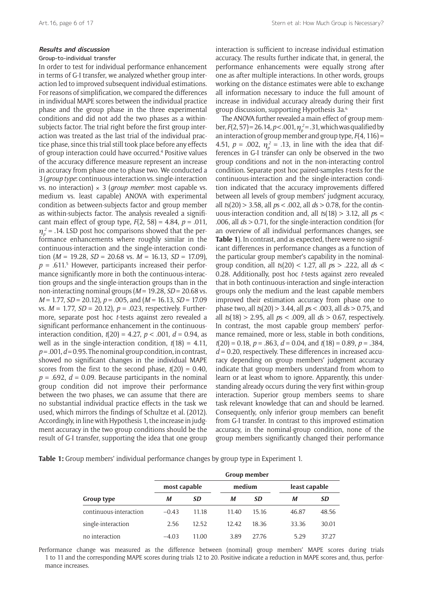## Group-to-individual transfer

In order to test for individual performance enhancement in terms of G-I transfer, we analyzed whether group interaction led to improved subsequent individual estimations. For reasons of simplification, we compared the differences in individual MAPE scores between the individual practice phase and the group phase in the three experimental conditions and did not add the two phases as a withinsubjects factor. The trial right before the first group interaction was treated as the last trial of the individual practice phase, since this trial still took place before any effects of group interaction could have occurred.4 Positive values of the accuracy difference measure represent an increase in accuracy from phase one to phase two. We conducted a 3 (*group type*: continuous-interaction vs. single-interaction vs. no interaction) × 3 (*group member*: most capable vs. medium vs. least capable) ANOVA with experimental condition as between-subjects factor and group member as within-subjects factor. The analysis revealed a significant main effect of group type, *F*(2, 58) = 4.84, *p* = .011,  $\eta_p^2$  = .14. LSD post hoc comparisons showed that the performance enhancements where roughly similar in the continuous-interaction and the single-interaction condition ( $M = 19.28$ ,  $SD = 20.68$  vs.  $M = 16.13$ ,  $SD = 17.09$ ),  $p = .611$ <sup>5</sup> However, participants increased their performance significantly more in both the continuous-interaction groups and the single-interaction groups than in the non-interacting nominal groups (*M* = 19.28, *SD* = 20.68 vs. *M* = 1.77, *SD* = 20.12), *p* = .005, and (*M* = 16.13, *SD* = 17.09 vs. *M* = 1.77, *SD* = 20.12), *p* = .023, respectively. Furthermore, separate post hoc *t*-tests against zero revealed a significant performance enhancement in the continuousinteraction condition,  $t(20) = 4.27$ ,  $p < .001$ ,  $d = 0.94$ , as well as in the single-interaction condition, *t*(18) = 4.11,  $p = .001, d = 0.95$ . The nominal group condition, in contrast, showed no significant changes in the individual MAPE scores from the first to the second phase,  $t(20) = 0.40$ ,  $p = .692$ ,  $d = 0.09$ . Because participants in the nominal group condition did not improve their performance between the two phases, we can assume that there are no substantial individual practice effects in the task we used, which mirrors the findings of Schultze et al. (2012). Accordingly, in line with Hypothesis 1, the increase in judgment accuracy in the two group conditions should be the result of G-I transfer, supporting the idea that one group

interaction is sufficient to increase individual estimation accuracy. The results further indicate that, in general, the performance enhancements were equally strong after one as after multiple interactions. In other words, groups working on the distance estimates were able to exchange all information necessary to induce the full amount of increase in individual accuracy already during their first group discussion, supporting Hypothesis 3a.6

The ANOVA further revealed a main effect of group member,  $F(2, 57) = 26.14, p < .001, \eta_p^2 = .31$ , which was qualified by an interaction of group member and group type, *F*(4, 116) = 4.51,  $p = .002$ ,  $\eta_p^2 = .13$ , in line with the idea that differences in G-I transfer can only be observed in the two group conditions and not in the non-interacting control condition. Separate post hoc paired-samples *t*-tests for the continuous-interaction and the single-interaction condition indicated that the accuracy improvements differed between all levels of group members' judgment accuracy, all *t*s(20) > 3.58, all *p*s < .002, all *d*s > 0.78, for the continuous-interaction condition and, all *t*s(18) > 3.12, all *p*s < .006, all *d*s > 0.71, for the single-interaction condition (for an overview of all individual performances changes, see **Table 1**). In contrast, and as expected, there were no significant differences in performance changes as a function of the particular group member's capability in the nominalgroup condition, all *t*s(20) < 1.27, all *p*s > .222, all *d*s < 0.28. Additionally, post hoc *t*-tests against zero revealed that in both continuous-interaction and single-interaction groups only the medium and the least capable members improved their estimation accuracy from phase one to phase two, all *t*s(20) > 3.44, all *p*s < .003, all *d*s > 0.75, and all *t*s(18) > 2.95, all *p*s < .009, all *d*s > 0.67, respectively. In contrast, the most capable group members' performance remained, more or less, stable in both conditions, *t*(20) = 0.18, *p* = .863, *d* = 0.04, and *t*(18) = 0.89, *p* = .384,  $d = 0.20$ , respectively. These differences in increased accuracy depending on group members' judgment accuracy indicate that group members understand from whom to learn or at least whom to ignore. Apparently, this understanding already occurs during the very first within-group interaction. Superior group members seems to share task relevant knowledge that can and should be learned. Consequently, only inferior group members can benefit from G-I transfer. In contrast to this improved estimation accuracy, in the nominal-group condition, none of the group members significantly changed their performance

**Table 1:** Group members' individual performance changes by group type in Experiment 1.

| Group type             | Group member |       |        |       |               |           |  |  |
|------------------------|--------------|-------|--------|-------|---------------|-----------|--|--|
|                        | most capable |       | medium |       | least capable |           |  |  |
|                        | М            | SD    | М      | SD    | М             | <b>SD</b> |  |  |
| continuous-interaction | $-0.43$      | 11.18 | 11.40  | 15.16 | 46.87         | 48.56     |  |  |
| single-interaction     | 2.56         | 12.52 | 12.42  | 18.36 | 33.36         | 30.01     |  |  |
| no interaction         | $-4.03$      | 11.00 | 3.89   | 27.76 | 5.29          | 37.27     |  |  |

Performance change was measured as the difference between (nominal) group members' MAPE scores during trials 1 to 11 and the corresponding MAPE scores during trials 12 to 20. Positive indicate a reduction in MAPE scores and, thus, performance increases.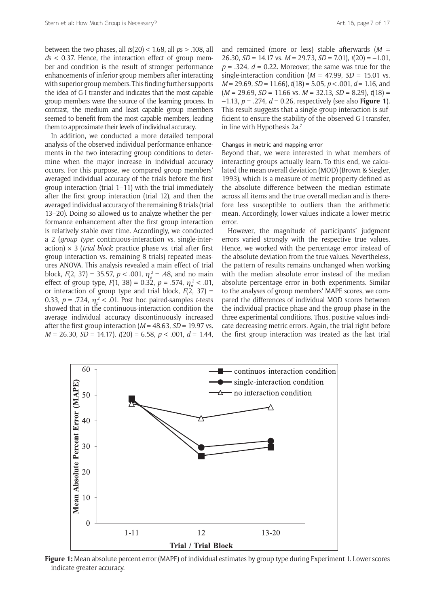between the two phases, all *t*s(20) < 1.68, all *p*s > .108, all *d*s < 0.37. Hence, the interaction effect of group member and condition is the result of stronger performance enhancements of inferior group members after interacting with superior group members. This finding further supports the idea of G-I transfer and indicates that the most capable group members were the source of the learning process. In contrast, the medium and least capable group members seemed to benefit from the most capable members, leading them to approximate their levels of individual accuracy.

In addition, we conducted a more detailed temporal analysis of the observed individual performance enhancements in the two interacting group conditions to determine when the major increase in individual accuracy occurs. For this purpose, we compared group members' averaged individual accuracy of the trials before the first group interaction (trial 1–11) with the trial immediately after the first group interaction (trial 12), and then the averaged individual accuracy of the remaining 8 trials (trial 13–20). Doing so allowed us to analyze whether the performance enhancement after the first group interaction is relatively stable over time. Accordingly, we conducted a 2 (*group type*: continuous-interaction vs. single-interaction)  $\times$  3 (*trial block*: practice phase vs. trial after first group interaction vs. remaining 8 trials) repeated measures ANOVA. This analysis revealed a main effect of trial block,  $F(2, 37) = 35.57$ ,  $p < .001$ ,  $\eta_p^2 = .48$ , and no main effect of group type,  $F(1, 38) = 0.32$ ,  $p = .574$ ,  $\eta_p^2 < .01$ , or interaction of group type and trial block,  $F(2, 37) =$ 0.33,  $p = .724$ ,  $\eta_p^2 < .01$ . Post hoc paired-samples *t*-tests showed that in the continuous-interaction condition the average individual accuracy discontinuously increased after the first group interaction (*M* = 48.63, *SD* = 19.97 vs. *M* = 26.30, *SD* = 14.17), *t*(20) = 6.58, *p* < .001, *d* = 1.44,

and remained (more or less) stable afterwards (*M* = 26.30, *SD* = 14.17 vs. *M* = 29.73, *SD* = 7.01), *t*(20) = –1.01,  $p = 0.324$ ,  $d = 0.22$ . Moreover, the same was true for the single-interaction condition ( $M = 47.99$ ,  $SD = 15.01$  vs. *M* = 29.69, *SD* = 11.66), *t*(18) = 5.05, *p* < .001, *d* = 1.16, and  $(M = 29.69, SD = 11.66$  vs.  $M = 32.13, SD = 8.29$ ),  $t(18) =$ –1.13, *p* = .274, *d* = 0.26, respectively (see also **Figure 1**). This result suggests that a single group interaction is sufficient to ensure the stability of the observed G-I transfer, in line with Hypothesis 2a.7

#### Changes in metric and mapping error

Beyond that, we were interested in what members of interacting groups actually learn. To this end, we calculated the mean overall deviation (MOD) (Brown & Siegler, 1993), which is a measure of metric property defined as the absolute difference between the median estimate across all items and the true overall median and is therefore less susceptible to outliers than the arithmetic mean. Accordingly, lower values indicate a lower metric error.

However, the magnitude of participants' judgment errors varied strongly with the respective true values. Hence, we worked with the percentage error instead of the absolute deviation from the true values. Nevertheless, the pattern of results remains unchanged when working with the median absolute error instead of the median absolute percentage error in both experiments. Similar to the analyses of group members' MAPE scores, we compared the differences of individual MOD scores between the individual practice phase and the group phase in the three experimental conditions. Thus, positive values indicate decreasing metric errors. Again, the trial right before the first group interaction was treated as the last trial



**Figure 1:** Mean absolute percent error (MAPE) of individual estimates by group type during Experiment 1. Lower scores indicate greater accuracy.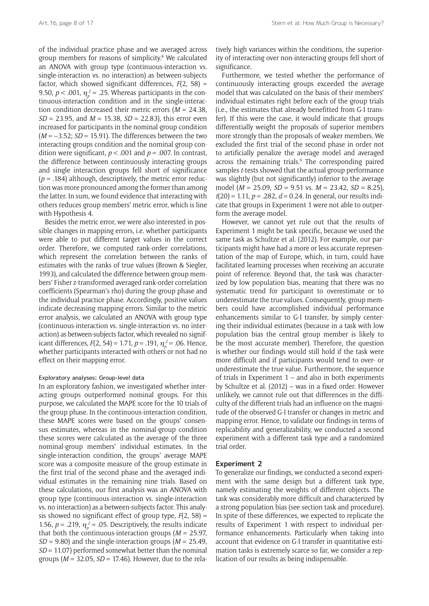of the individual practice phase and we averaged across group members for reasons of simplicity.<sup>8</sup> We calculated an ANOVA with group type (continuous-interaction vs. single-interaction vs. no interaction) as between-subjects factor, which showed significant differences, *F*(2, 58) = 9.50,  $p < .001$ ,  $\eta_p^2 = .25$ . Whereas participants in the continuous-interaction condition and in the single-interaction condition decreased their metric errors (*M* = 24.38*, SD* = 23.95, and *M* = 15.38, *SD* = 22.83), this error even increased for participants in the nominal group condition (*M* = –3.52; *SD* = 15.91). The differences between the two interacting groups condition and the nominal group condition were significant, *p* < .001 and *p* = .007. In contrast, the difference between continuously interacting groups and single interaction groups fell short of significance  $(p = .184)$  although, descriptively, the metric error reduction was more pronounced among the former than among the latter. In sum, we found evidence that interacting with others reduces group members' metric error, which is line with Hypothesis 4.

Besides the metric error, we were also interested in possible changes in mapping errors, i.e. whether participants were able to put different target values in the correct order. Therefore, we computed rank-order correlations, which represent the correlation between the ranks of estimates with the ranks of true values (Brown & Siegler, 1993), and calculated the difference between group members' Fisher z-transformed averaged rank-order correlation coefficients (Spearman's rho) during the group phase and the individual practice phase. Accordingly, positive values indicate decreasing mapping errors. Similar to the metric error analysis, we calculated an ANOVA with group type (continuous-interaction vs. single-interaction vs. no interaction) as between-subjects factor, which revealed no significant differences,  $F(2, 54) = 1.71$ ,  $p = .191$ ,  $\eta_p^2 = .06$ . Hence, whether participants interacted with others or not had no effect on their mapping error.

## Exploratory analyses: Group-level data

In an exploratory fashion, we investigated whether interacting groups outperformed nominal groups. For this purpose, we calculated the MAPE score for the 10 trials of the group phase. In the continuous-interaction condition, these MAPE scores were based on the groups' consensus estimates, whereas in the nominal-group condition these scores were calculated as the average of the three nominal-group members' individual estimates. In the single-interaction condition, the groups' average MAPE score was a composite measure of the group estimate in the first trial of the second phase and the averaged individual estimates in the remaining nine trials. Based on these calculations, our first analysis was an ANOVA with group type (continuous-interaction vs. single-interaction vs. no interaction) as a between-subjects factor. This analysis showed no significant effect of group type,  $F(2, 58) =$ 1.56,  $p = 0.219$ ,  $\eta_p^2 = 0.05$ . Descriptively, the results indicate that both the continuous-interaction groups  $(M = 25.97$ .  $SD = 9.80$ ) and the single-interaction groups ( $M = 25.49$ , *SD* = 11.07) performed somewhat better than the nominal groups (*M* = 32.05, *SD* = 17.46). However, due to the rela-

tively high variances within the conditions, the superiority of interacting over non-interacting groups fell short of significance.

Furthermore, we tested whether the performance of continuously interacting groups exceeded the average model that was calculated on the basis of their members' individual estimates right before each of the group trials (i.e., the estimates that already benefitted from G-I transfer). If this were the case, it would indicate that groups differentially weight the proposals of superior members more strongly than the proposals of weaker members. We excluded the first trial of the second phase in order not to artificially penalize the average model and averaged across the remaining trials.<sup>9</sup> The corresponding paired samples *t*-tests showed that the actual group performance was slightly (but not significantly) inferior to the average model (*M* = 25.09, *SD* = 9.51 vs. *M* = 23.42, *SD* = 8.25), *t*(20) = 1.11, *p* = .282, *d* = 0.24. In general, our results indicate that groups in Experiment 1 were not able to outperform the average model.

However, we cannot yet rule out that the results of Experiment 1 might be task specific, because we used the same task as Schultze et al. (2012). For example, our participants might have had a more or less accurate representation of the map of Europe, which, in turn, could have facilitated learning processes when receiving an accurate point of reference. Beyond that, the task was characterized by low population bias, meaning that there was no systematic trend for participant to overestimate or to underestimate the true values. Consequently, group members could have accomplished individual performance enhancements similar to G-I transfer, by simply centering their individual estimates (because in a task with low population bias the central group member is likely to be the most accurate member). Therefore, the question is whether our findings would still hold if the task were more difficult and if participants would tend to over- or underestimate the true value. Furthermore, the sequence of trials in Experiment 1 – and also in both experiments by Schultze et al. (2012) – was in a fixed order. However unlikely, we cannot rule out that differences in the difficulty of the different trials had an influence on the magnitude of the observed G-I transfer or changes in metric and mapping error. Hence, to validate our findings in terms of replicability and generalizability, we conducted a second experiment with a different task type and a randomized trial order.

#### **Experiment 2**

To generalize our findings, we conducted a second experiment with the same design but a different task type, namely estimating the weights of different objects. The task was considerably more difficult and characterized by a strong population bias (see section task and procedure). In spite of these differences, we expected to replicate the results of Experiment 1 with respect to individual performance enhancements. Particularly when taking into account that evidence on G-I transfer in quantitative estimation tasks is extremely scarce so far, we consider a replication of our results as being indispensable.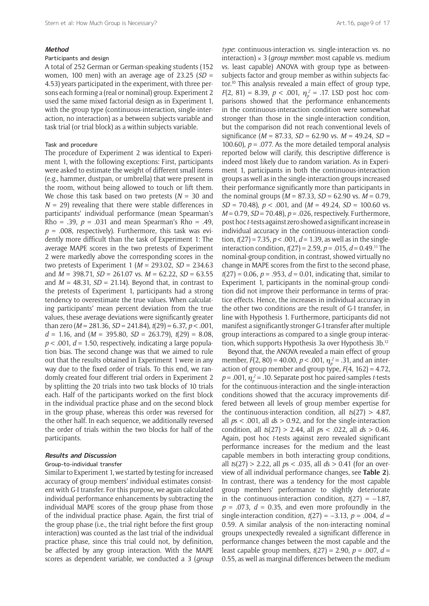#### **Method**

## Participants and design

A total of 252 German or German-speaking students (152 women, 100 men) with an average age of  $23.25$  ( $SD =$ 4.53) years participated in the experiment, with three persons each forming a (real or nominal) group. Experiment 2 used the same mixed factorial design as in Experiment 1, with the group type (continuous-interaction, single-interaction, no interaction) as a between subjects variable and task trial (or trial block) as a within subjects variable.

#### Task and procedure

The procedure of Experiment 2 was identical to Experiment 1, with the following exceptions: First, participants were asked to estimate the weight of different small items (e.g., hammer, dustpan, or umbrella) that were present in the room, without being allowed to touch or lift them. We chose this task based on two pretests (*N* = 30 and  $N = 29$ ) revealing that there were stable differences in participants' individual performance (mean Spearman's Rho = .39,  $p = .031$  and mean Spearman's Rho = .49,  $p = .008$ , respectively). Furthermore, this task was evidently more difficult than the task of Experiment 1: The average MAPE scores in the two pretests of Experiment 2 were markedly above the corresponding scores in the two pretests of Experiment 1 (*M* = 293.02, *SD* = 234.63 and *M* = 398.71, *SD* = 261.07 vs. *M* = 62.22, *SD* = 63.55 and  $M = 48.31$ ,  $SD = 21.14$ ). Beyond that, in contrast to the pretests of Experiment 1, participants had a strong tendency to overestimate the true values. When calculating participants' mean percent deviation from the true values, these average deviations were significantly greater than zero (*M* = 281.36, *SD* = 241.84), *t*(29) = 6.37, *p* < .001, *d* = 1.16, and (*M* = 395.80, *SD* = 263.79), *t*(29) = 8.08,  $p < .001$ ,  $d = 1.50$ , respectively, indicating a large population bias. The second change was that we aimed to rule out that the results obtained in Experiment 1 were in any way due to the fixed order of trials. To this end, we randomly created four different trial orders in Experiment 2 by splitting the 20 trials into two task blocks of 10 trials each. Half of the participants worked on the first block in the individual practice phase and on the second block in the group phase, whereas this order was reversed for the other half. In each sequence, we additionally reversed the order of trials within the two blocks for half of the participants.

## **Results and Discussion**

## Group-to-individual transfer

Similar to Experiment 1, we started by testing for increased accuracy of group members' individual estimates consistent with G-I transfer. For this purpose, we again calculated individual performance enhancements by subtracting the individual MAPE scores of the group phase from those of the individual practice phase. Again, the first trial of the group phase (i.e., the trial right before the first group interaction) was counted as the last trial of the individual practice phase, since this trial could not, by definition, be affected by any group interaction. With the MAPE scores as dependent variable, we conducted a 3 (*group*  *type*: continuous-interaction vs. single-interaction vs. no interaction) × 3 (*group member*: most capable vs. medium vs. least capable) ANOVA with group type as betweensubjects factor and group member as within subjects factor.10 This analysis revealed a main effect of group type, *F*(2, 81) = 8.39, *p* < .001,  $\eta_p^2$  = .17. LSD post hoc comparisons showed that the performance enhancements in the continuous-interaction condition were somewhat stronger than those in the single-interaction condition, but the comparison did not reach conventional levels of significance (*M* = 87.33, *SD* = 62.90 vs. *M* = 49.24, *SD* = 100.60),  $p = 0.077$ . As the more detailed temporal analysis reported below will clarify, this descriptive difference is indeed most likely due to random variation. As in Experiment 1, participants in both the continuous-interaction groups as well as in the single-interaction groups increased their performance significantly more than participants in the nominal groups (*M* = 87.33, *SD* = 62.90 vs. *M* = 0.79, *SD* = 70.48), *p* < .001, and (*M* = 49.24, *SD* = 100.60 vs. *M* = 0.79, *SD* = 70.48), *p* = .026, respectively. Furthermore, post hoc *t*-tests against zero showed a significant increase in individual accuracy in the continuous-interaction condition,  $t(27) = 7.35$ ,  $p < .001$ ,  $d = 1.39$ , as well as in the singleinteraction condition,  $t(27) = 2.59$ ,  $p = .015$ ,  $d = 0.49$ .<sup>11</sup> The nominal-group condition, in contrast, showed virtually no change in MAPE scores from the first to the second phase, *t*(27) = 0.06, *p* = .953, *d* = 0.01, indicating that, similar to Experiment 1, participants in the nominal-group condition did not improve their performance in terms of practice effects. Hence, the increases in individual accuracy in the other two conditions are the result of G-I transfer, in line with Hypothesis 1. Furthermore, participants did not manifest a significantly stronger G-I transfer after multiple group interactions as compared to a single group interaction, which supports Hypothesis 3a over Hypothesis 3b.12

Beyond that, the ANOVA revealed a main effect of group member,  $F(2, 80) = 40.00$ ,  $p < .001$ ,  $\eta_p^2 = .31$ , and an interaction of group member and group type,  $F(4, 162) = 4.72$ ,  $p = .001$ ,  $\eta_p^2 = .10$ . Separate post hoc paired-samples *t*-tests for the continuous-interaction and the single-interaction conditions showed that the accuracy improvements differed between all levels of group member expertise for the continuous-interaction condition, all *t*s(27) > 4.87, all *p*s < .001, all *d*s > 0.92, and for the single-interaction condition, all *t*s(27) > 2.44, all *p*s < .022, all *d*s > 0.46. Again, post hoc *t*-tests against zero revealed significant performance increases for the medium and the least capable members in both interacting group conditions, all *t*s(27) > 2.22, all *p*s < .035, all *d*s > 0.41 (for an overview of all individual performance changes, see **Table 2**). In contrast, there was a tendency for the most capable group members' performance to slightly deteriorate in the continuous-interaction condition,  $t(27) = -1.87$ ,  $p = .073$ ,  $d = 0.35$ , and even more profoundly in the single-interaction condition,  $t(27) = -3.13$ ,  $p = .004$ ,  $d =$ 0.59. A similar analysis of the non-interacting nominal groups unexpectedly revealed a significant difference in performance changes between the most capable and the least capable group members, *t*(27) = 2.90, *p* = .007, *d* = 0.55, as well as marginal differences between the medium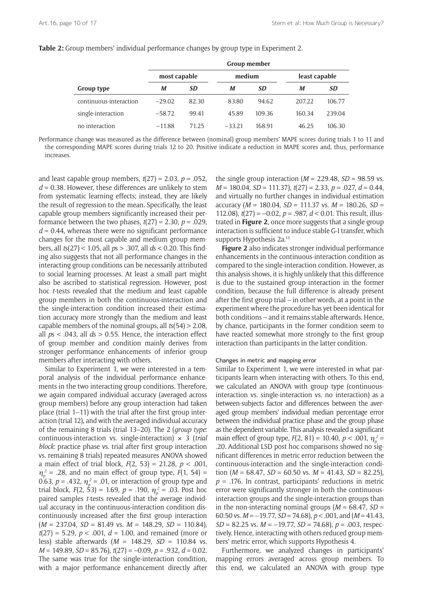#### **Table 2:** Group members' individual performance changes by group type in Experiment 2.

|                        | Group member |       |          |        |               |           |  |  |
|------------------------|--------------|-------|----------|--------|---------------|-----------|--|--|
|                        | most capable |       | medium   |        | least capable |           |  |  |
| Group type             | М            | SD    | М        | SD     | M             | <b>SD</b> |  |  |
| continuous-interaction | $-29.02$     | 82.30 | 83.80    | 94.62  | 207.22        | 106.77    |  |  |
| single-interaction     | $-58.72$     | 99.41 | 45.89    | 109.36 | 160.34        | 239.04    |  |  |
| no interaction         | $-11.88$     | 71.25 | $-33.21$ | 168.91 | 46.25         | 106.30    |  |  |

Performance change was measured as the difference between (nominal) group members' MAPE scores during trials 1 to 11 and the corresponding MAPE scores during trials 12 to 20. Positive indicate a reduction in MAPE scores and, thus, performance increases.

and least capable group members, *t*(27) = 2.03, *p* = .052, *d* = 0.38. However, these differences are unlikely to stem from systematic learning effects; instead, they are likely the result of regression to the mean. Specifically, the least capable group members significantly increased their performance between the two phases,  $t(27) = 2.30$ ,  $p = .029$ ,  $d = 0.44$ , whereas there were no significant performance changes for the most capable and medium group members, all *t*s(27) < 1.05, all *p*s > .307, all *d*s < 0.20. This finding also suggests that not all performance changes in the interacting group conditions can be necessarily attributed to social learning processes. At least a small part might also be ascribed to statistical regression. However, post hoc *t*-tests revealed that the medium and least capable group members in both the continuous-interaction and the single-interaction condition increased their estimation accuracy more strongly than the medium and least capable members of the nominal groups, all *t*s(54) > 2.08, all *p*s < .043, all *d*s > 0.55. Hence, the interaction effect of group member and condition mainly derives from stronger performance enhancements of inferior group members after interacting with others.

Similar to Experiment 1, we were interested in a temporal analysis of the individual performance enhancements in the two interacting group conditions. Therefore, we again compared individual accuracy (averaged across group members) before any group interaction had taken place (trial 1–11) with the trial after the first group interaction (trial 12), and with the averaged individual accuracy of the remaining 8 trials (trial 13–20). The 2 (*group type*: continuous-interaction vs. single-interaction) × 3 (*trial block*: practice phase vs. trial after first group interaction vs. remaining 8 trials) repeated measures ANOVA showed a main effect of trial block, *F*(2, 53) = 21.28, *p* < .001,  $\eta_p^2$  = .28, and no main effect of group type,  $F(1, 54)$  = 0.63,  $p = .432$ ,  $\eta_p^2 = .01$ , or interaction of group type and trial block,  $F(2, 53) = 1.69$ ,  $p = .190$ ,  $\eta_p^2 = .03$ . Post hoc paired samples *t*-tests revealed that the average individual accuracy in the continuous-interaction condition discontinuously increased after the first group interaction (*M* = 237.04, *SD* = 81.49 vs. *M* = 148.29, *SD* = 110.84), *t*(27) = 5.29, *p* < .001, *d* = 1.00, and remained (more or less) stable afterwards (*M* = 148.29, *SD* = 110.84 vs. *M* = 149.89, *SD* = 85.76), *t*(27) = –0.09, *p* = .932, *d* = 0.02. The same was true for the single-interaction condition, with a major performance enhancement directly after

the single group interaction  $(M = 229.48, SD = 98.59$  vs. *M* = 180.04, *SD* = 111.37), *t*(27) = 2.33, *p* = .027, *d* = 0.44, and virtually no further changes in individual estimation accuracy (*M* = 180.04, *SD* = 111.37 vs. *M* = 180.26, *SD* = 112.08), *t*(27) = –0.02, *p* = .987, *d* < 0.01. This result, illustrated in **Figure 2**, once more suggests that a single group interaction is sufficient to induce stable G-I transfer, which supports Hypothesis 2a.<sup>13</sup>

**Figure 2** also indicates stronger individual performance enhancements in the continuous-interaction condition as compared to the single-interaction condition. However, as this analysis shows, it is highly unlikely that this difference is due to the sustained group interaction in the former condition, because the full difference is already present after the first group trial – in other words, at a point in the experiment where the procedure has yet been identical for both conditions – and it remains stable afterwards. Hence, by chance, participants in the former condition seem to have reacted somewhat more strongly to the first group interaction than participants in the latter condition.

#### Changes in metric and mapping error

Similar to Experiment 1, we were interested in what participants learn when interacting with others. To this end, we calculated an ANOVA with group type (continuousinteraction vs. single-interaction vs. no interaction) as a between-subjects factor and differences between the averaged group members' individual median percentage error between the individual practice phase and the group phase as the dependent variable. This analysis revealed a significant main effect of group type,  $F(2, 81) = 10.40$ ,  $p < .001$ ,  $\eta_p^2 =$ .20. Additional LSD post hoc comparisons showed no significant differences in metric error reduction between the continuous-interaction and the single-interaction condition  $(M = 68.47, SD = 60.50$  vs.  $M = 41.43, SD = 82.25$ ). *p* = .176. In contrast, participants' reductions in metric error were significantly stronger in both the continuousinteraction groups and the single-interaction groups than in the non-interacting nominal groups  $(M = 68.47, SD =$ 60.50 vs. *M* = –19.77, *SD* = 74.68), *p* < .001, and (*M* = 41.43*, SD* = 82.25 vs. *M* = –19.77, *SD* = 74.68), *p* = .003, respectively. Hence, interacting with others reduced group members' metric error, which supports Hypothesis 4.

Furthermore, we analyzed changes in participants' mapping errors averaged across group members. To this end, we calculated an ANOVA with group type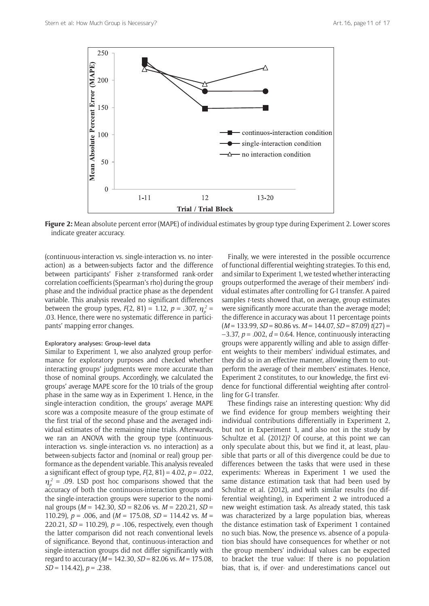

**Figure 2:** Mean absolute percent error (MAPE) of individual estimates by group type during Experiment 2. Lower scores indicate greater accuracy.

(continuous-interaction vs. single-interaction vs. no interaction) as a between-subjects factor and the difference between participants' Fisher z-transformed rank-order correlation coefficients (Spearman's rho) during the group phase and the individual practice phase as the dependent variable. This analysis revealed no significant differences between the group types,  $F(2, 81) = 1.12$ ,  $p = .307$ ,  $\eta_p^2 =$ .03. Hence, there were no systematic difference in participants' mapping error changes.

#### Exploratory analyses: Group-level data

Similar to Experiment 1, we also analyzed group performance for exploratory purposes and checked whether interacting groups' judgments were more accurate than those of nominal groups. Accordingly, we calculated the groups' average MAPE score for the 10 trials of the group phase in the same way as in Experiment 1. Hence, in the single-interaction condition, the groups' average MAPE score was a composite measure of the group estimate of the first trial of the second phase and the averaged individual estimates of the remaining nine trials. Afterwards, we ran an ANOVA with the group type (continuousinteraction vs. single-interaction vs. no interaction) as a between-subjects factor and (nominal or real) group performance as the dependent variable. This analysis revealed a significant effect of group type, *F*(2, 81) = 4.02, *p* = .022,  $\eta_p^2$  = .09. LSD post hoc comparisons showed that the accuracy of both the continuous-interaction groups and the single-interaction groups were superior to the nominal groups (*M* = 142.30*, SD* = 82.06 vs. *M* = 220.21*, SD* = 110.29), *p* = .006, and (*M* = 175.08*, SD* = 114.42 vs. *M* = 220.21*, SD* = 110.29), *p* = .106, respectively, even though the latter comparison did not reach conventional levels of significance. Beyond that, continuous-interaction and single-interaction groups did not differ significantly with regard to accuracy (*M* = 142.30*, SD* = 82.06 vs. *M* = 175.08*, SD* = 114.42), *p* = .238.

Finally, we were interested in the possible occurrence of functional differential weighting strategies. To this end, and similar to Experiment 1, we tested whether interacting groups outperformed the average of their members' individual estimates after controlling for G-I transfer. A paired samples *t*-tests showed that, on average, group estimates were significantly more accurate than the average model; the difference in accuracy was about 11 percentage points  $(M = 133.99, SD = 80.86$  vs.  $M = 144.07, SD = 87.09$   $t(27) =$  $-3.37$ ,  $p = .002$ ,  $d = 0.64$ . Hence, continuously interacting groups were apparently willing and able to assign different weights to their members' individual estimates, and they did so in an effective manner, allowing them to outperform the average of their members' estimates. Hence, Experiment 2 constitutes, to our knowledge, the first evidence for functional differential weighting after controlling for G-I transfer.

These findings raise an interesting question: Why did we find evidence for group members weighting their individual contributions differentially in Experiment 2, but not in Experiment 1, and also not in the study by Schultze et al. (2012)? Of course, at this point we can only speculate about this, but we find it, at least, plausible that parts or all of this divergence could be due to differences between the tasks that were used in these experiments: Whereas in Experiment 1 we used the same distance estimation task that had been used by Schultze et al. (2012), and with similar results (no differential weighting), in Experiment 2 we introduced a new weight estimation task. As already stated, this task was characterized by a large population bias, whereas the distance estimation task of Experiment 1 contained no such bias. Now, the presence vs. absence of a population bias should have consequences for whether or not the group members' individual values can be expected to bracket the true value: If there is no population bias, that is, if over- and underestimations cancel out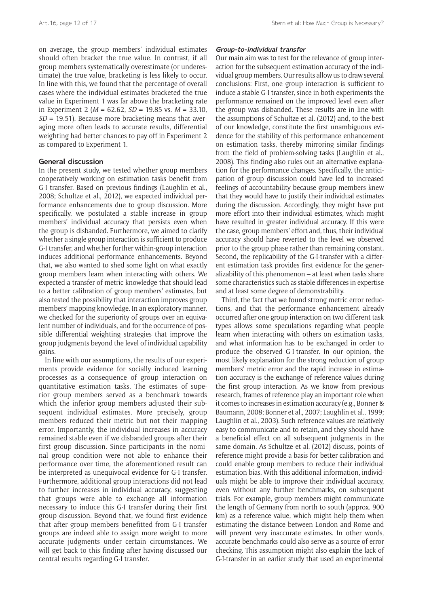on average, the group members' individual estimates should often bracket the true value. In contrast, if all group members systematically overestimate (or underestimate) the true value, bracketing is less likely to occur. In line with this, we found that the percentage of overall cases where the individual estimates bracketed the true value in Experiment 1 was far above the bracketing rate in Experiment 2 (*M* = 62.62, *SD* = 19.85 vs. *M* = 33.10, *SD* = 19.51). Because more bracketing means that averaging more often leads to accurate results, differential weighting had better chances to pay off in Experiment 2 as compared to Experiment 1.

## **General discussion**

In the present study, we tested whether group members cooperatively working on estimation tasks benefit from G-I transfer. Based on previous findings (Laughlin et al., 2008; Schultze et al., 2012), we expected individual performance enhancements due to group discussion. More specifically, we postulated a stable increase in group members' individual accuracy that persists even when the group is disbanded. Furthermore, we aimed to clarify whether a single group interaction is sufficient to produce G-I transfer, and whether further within-group interaction induces additional performance enhancements. Beyond that, we also wanted to shed some light on what exactly group members learn when interacting with others. We expected a transfer of metric knowledge that should lead to a better calibration of group members' estimates, but also tested the possibility that interaction improves group members' mapping knowledge. In an exploratory manner, we checked for the superiority of groups over an equivalent number of individuals, and for the occurrence of possible differential weighting strategies that improve the group judgments beyond the level of individual capability gains.

In line with our assumptions, the results of our experiments provide evidence for socially induced learning processes as a consequence of group interaction on quantitative estimation tasks. The estimates of superior group members served as a benchmark towards which the inferior group members adjusted their subsequent individual estimates. More precisely, group members reduced their metric but not their mapping error. Importantly, the individual increases in accuracy remained stable even if we disbanded groups after their first group discussion. Since participants in the nominal group condition were not able to enhance their performance over time, the aforementioned result can be interpreted as unequivocal evidence for G-I transfer. Furthermore, additional group interactions did not lead to further increases in individual accuracy, suggesting that groups were able to exchange all information necessary to induce this G-I transfer during their first group discussion. Beyond that, we found first evidence that after group members benefitted from G-I transfer groups are indeed able to assign more weight to more accurate judgments under certain circumstances. We will get back to this finding after having discussed our central results regarding G-I transfer.

#### **Group-to-individual transfer**

Our main aim was to test for the relevance of group interaction for the subsequent estimation accuracy of the individual group members. Our results allow us to draw several conclusions: First, one group interaction is sufficient to induce a stable G-I transfer, since in both experiments the performance remained on the improved level even after the group was disbanded. These results are in line with the assumptions of Schultze et al. (2012) and, to the best of our knowledge, constitute the first unambiguous evidence for the stability of this performance enhancement on estimation tasks, thereby mirroring similar findings from the field of problem-solving tasks (Laughlin et al., 2008). This finding also rules out an alternative explanation for the performance changes. Specifically, the anticipation of group discussion could have led to increased feelings of accountability because group members knew that they would have to justify their individual estimates during the discussion. Accordingly, they might have put more effort into their individual estimates, which might have resulted in greater individual accuracy. If this were the case, group members' effort and, thus, their individual accuracy should have reverted to the level we observed prior to the group phase rather than remaining constant. Second, the replicability of the G-I-transfer with a different estimation task provides first evidence for the generalizability of this phenomenon – at least when tasks share some characteristics such as stable differences in expertise and at least some degree of demonstrability.

Third, the fact that we found strong metric error reductions, and that the performance enhancement already occurred after one group interaction on two different task types allows some speculations regarding what people learn when interacting with others on estimation tasks, and what information has to be exchanged in order to produce the observed G-I-transfer. In our opinion, the most likely explanation for the strong reduction of group members' metric error and the rapid increase in estimation accuracy is the exchange of reference values during the first group interaction. As we know from previous research, frames of reference play an important role when it comes to increases in estimation accuracy (e.g., Bonner & Baumann, 2008; Bonner et al., 2007; Laughlin et al., 1999; Laughlin et al., 2003). Such reference values are relatively easy to communicate and to retain, and they should have a beneficial effect on all subsequent judgments in the same domain. As Schultze et al. (2012) discuss, points of reference might provide a basis for better calibration and could enable group members to reduce their individual estimation bias. With this additional information, individuals might be able to improve their individual accuracy, even without any further benchmarks, on subsequent trials. For example, group members might communicate the length of Germany from north to south (approx. 900 km) as a reference value, which might help them when estimating the distance between London and Rome and will prevent very inaccurate estimates. In other words, accurate benchmarks could also serve as a source of error checking. This assumption might also explain the lack of G-I-transfer in an earlier study that used an experimental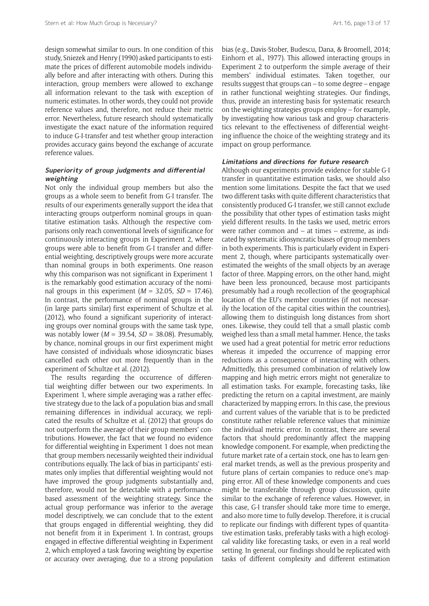design somewhat similar to ours. In one condition of this study, Sniezek and Henry (1990) asked participants to estimate the prices of different automobile models individually before and after interacting with others. During this interaction, group members were allowed to exchange all information relevant to the task with exception of numeric estimates. In other words, they could not provide reference values and, therefore, not reduce their metric error. Nevertheless, future research should systematically investigate the exact nature of the information required to induce G-I-transfer and test whether group interaction provides accuracy gains beyond the exchange of accurate reference values.

# **Superiority of group judgments and differential weighting**

Not only the individual group members but also the groups as a whole seem to benefit from G-I transfer. The results of our experiments generally support the idea that interacting groups outperform nominal groups in quantitative estimation tasks. Although the respective comparisons only reach conventional levels of significance for continuously interacting groups in Experiment 2, where groups were able to benefit from G-I transfer and differential weighting, descriptively groups were more accurate than nominal groups in both experiments. One reason why this comparison was not significant in Experiment 1 is the remarkably good estimation accuracy of the nominal groups in this experiment  $(M = 32.05, SD = 17.46)$ . In contrast, the performance of nominal groups in the (in large parts similar) first experiment of Schultze et al. (2012), who found a significant superiority of interacting groups over nominal groups with the same task type, was notably lower (*M* = 39.54, *SD* = 38.08). Presumably, by chance, nominal groups in our first experiment might have consisted of individuals whose idiosyncratic biases cancelled each other out more frequently than in the experiment of Schultze et al. (2012).

The results regarding the occurrence of differential weighting differ between our two experiments. In Experiment 1, where simple averaging was a rather effective strategy due to the lack of a population bias and small remaining differences in individual accuracy, we replicated the results of Schultze et al. (2012) that groups do not outperform the average of their group members' contributions. However, the fact that we found no evidence for differential weighting in Experiment 1 does not mean that group members necessarily weighted their individual contributions equally. The lack of bias in participants' estimates only implies that differential weighting would not have improved the group judgments substantially and, therefore, would not be detectable with a performancebased assessment of the weighting strategy. Since the actual group performance was inferior to the average model descriptively, we can conclude that to the extent that groups engaged in differential weighting, they did not benefit from it in Experiment 1. In contrast, groups engaged in effective differential weighting in Experiment 2, which employed a task favoring weighting by expertise or accuracy over averaging, due to a strong population bias (e.g., Davis-Stober, Budescu, Dana, & Broomell, 2014; Einhorn et al., 1977). This allowed interacting groups in Experiment 2 to outperform the simple average of their members' individual estimates. Taken together, our results suggest that groups can – to some degree – engage in rather functional weighting strategies. Our findings, thus, provide an interesting basis for systematic research on the weighting strategies groups employ – for example, by investigating how various task and group characteristics relevant to the effectiveness of differential weighting influence the choice of the weighting strategy and its impact on group performance.

## **Limitations and directions for future research**

Although our experiments provide evidence for stable G-I transfer in quantitative estimation tasks, we should also mention some limitations. Despite the fact that we used two different tasks with quite different characteristics that consistently produced G-I transfer, we still cannot exclude the possibility that other types of estimation tasks might yield different results. In the tasks we used, metric errors were rather common and – at times – extreme, as indicated by systematic idiosyncratic biases of group members in both experiments. This is particularly evident in Experiment 2, though, where participants systematically overestimated the weights of the small objects by an average factor of three. Mapping errors, on the other hand, might have been less pronounced, because most participants presumably had a rough recollection of the geographical location of the EU's member countries (if not necessarily the location of the capital cities within the countries), allowing them to distinguish long distances from short ones. Likewise, they could tell that a small plastic comb weighed less than a small metal hammer. Hence, the tasks we used had a great potential for metric error reductions whereas it impeded the occurrence of mapping error reductions as a consequence of interacting with others. Admittedly, this presumed combination of relatively low mapping and high metric errors might not generalize to all estimation tasks. For example, forecasting tasks, like predicting the return on a capital investment, are mainly characterized by mapping errors. In this case, the previous and current values of the variable that is to be predicted constitute rather reliable reference values that minimize the individual metric error. In contrast, there are several factors that should predominantly affect the mapping knowledge component. For example, when predicting the future market rate of a certain stock, one has to learn general market trends, as well as the previous prosperity and future plans of certain companies to reduce one's mapping error. All of these knowledge components and cues might be transferable through group discussion, quite similar to the exchange of reference values. However, in this case, G-I transfer should take more time to emerge, and also more time to fully develop. Therefore, it is crucial to replicate our findings with different types of quantitative estimation tasks, preferably tasks with a high ecological validity like forecasting tasks, or even in a real world setting. In general, our findings should be replicated with tasks of different complexity and different estimation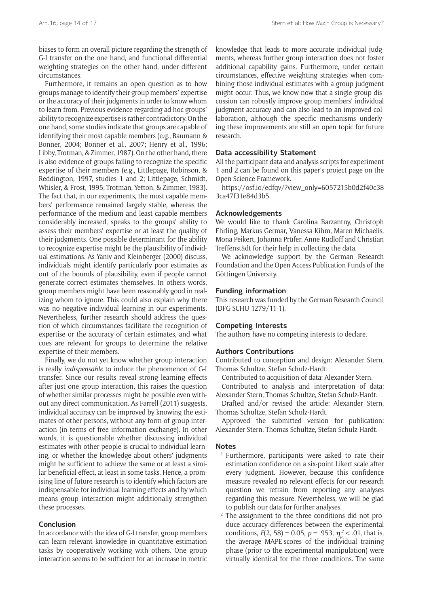biases to form an overall picture regarding the strength of G-I transfer on the one hand, and functional differential weighting strategies on the other hand, under different circumstances.

Furthermore, it remains an open question as to how groups manage to identify their group members' expertise or the accuracy of their judgments in order to know whom to learn from. Previous evidence regarding ad hoc groups' ability to recognize expertise is rather contradictory. On the one hand, some studies indicate that groups are capable of identifying their most capable members (e.g., Baumann & Bonner, 2004; Bonner et al., 2007; Henry et al., 1996; Libby, Trotman, & Zimmer, 1987). On the other hand, there is also evidence of groups failing to recognize the specific expertise of their members (e.g., Littlepage, Robinson, & Reddington, 1997, studies 1 and 2; Littlepage, Schmidt, Whisler, & Frost, 1995; Trotman, Yetton, & Zimmer, 1983). The fact that, in our experiments, the most capable members' performance remained largely stable, whereas the performance of the medium and least capable members considerably increased, speaks to the groups' ability to assess their members' expertise or at least the quality of their judgments. One possible determinant for the ability to recognize expertise might be the plausibility of individual estimations. As Yaniv and Kleinberger (2000) discuss, individuals might identify particularly poor estimates as out of the bounds of plausibility, even if people cannot generate correct estimates themselves. In others words, group members might have been reasonably good in realizing whom to ignore. This could also explain why there was no negative individual learning in our experiments. Nevertheless, further research should address the question of which circumstances facilitate the recognition of expertise or the accuracy of certain estimates, and what cues are relevant for groups to determine the relative expertise of their members.

Finally, we do not yet know whether group interaction is really *indispensable* to induce the phenomenon of G-I transfer. Since our results reveal strong learning effects after just one group interaction, this raises the question of whether similar processes might be possible even without any direct communication. As Farrell (2011) suggests, individual accuracy can be improved by knowing the estimates of other persons, without any form of group interaction (in terms of free information exchange). In other words, it is questionable whether discussing individual estimates with other people is crucial to individual learning, or whether the knowledge about others' judgments might be sufficient to achieve the same or at least a similar beneficial effect, at least in some tasks. Hence, a promising line of future research is to identify which factors are indispensable for individual learning effects and by which means group interaction might additionally strengthen these processes.

# **Conclusion**

In accordance with the idea of G-I transfer, group members can learn relevant knowledge in quantitative estimation tasks by cooperatively working with others. One group interaction seems to be sufficient for an increase in metric knowledge that leads to more accurate individual judgments, whereas further group interaction does not foster additional capability gains. Furthermore, under certain circumstances, effective weighting strategies when combining those individual estimates with a group judgment might occur. Thus, we know now that a single group discussion can robustly improve group members' individual judgment accuracy and can also lead to an improved collaboration, although the specific mechanisms underlying these improvements are still an open topic for future research.

## **Data accessibility Statement**

All the participant data and analysis scripts for experiment 1 and 2 can be found on this paper's project page on the Open Science Framework.

[https://osf.io/edfqv/?view\\_only=6057215b0d2f40c38](https://osf.io/edfqv/?view_only=6057215b0d2f40c383ca47f31e84d3b5) [3ca47f31e84d3b5.](https://osf.io/edfqv/?view_only=6057215b0d2f40c383ca47f31e84d3b5)

#### **Acknowledgements**

We would like to thank Carolina Barzantny, Christoph Ehrling, Markus Germar, Vanessa Kihm, Maren Michaelis, Mona Peikert, Johanna Prüfer, Anne Rudloff and Christian Treffenstädt for their help in collecting the data.

We acknowledge support by the German Research Foundation and the Open Access Publication Funds of the Göttingen University.

## **Funding information**

This research was funded by the German Research Council (DFG SCHU 1279/11-1).

# **Competing Interests**

The authors have no competing interests to declare.

## **Authors Contributions**

Contributed to conception and design: Alexander Stern, Thomas Schultze, Stefan Schulz-Hardt.

Contributed to acquisition of data: Alexander Stern.

Contributed to analysis and interpretation of data: Alexander Stern, Thomas Schultze, Stefan Schulz-Hardt.

Drafted and/or revised the article: Alexander Stern, Thomas Schultze, Stefan Schulz-Hardt.

Approved the submitted version for publication: Alexander Stern, Thomas Schultze, Stefan Schulz-Hardt.

#### **Notes**

- <sup>1</sup> Furthermore, participants were asked to rate their estimation confidence on a six-point Likert scale after every judgment. However, because this confidence measure revealed no relevant effects for our research question we refrain from reporting any analyses regarding this measure. Nevertheless, we will be glad to publish our data for further analyses.
- <sup>2</sup> The assignment to the three conditions did not produce accuracy differences between the experimental conditions,  $F(2, 58) = 0.05$ ,  $p = .953$ ,  $\eta_p^2 < .01$ , that is, the average MAPE-scores of the individual training phase (prior to the experimental manipulation) were virtually identical for the three conditions. The same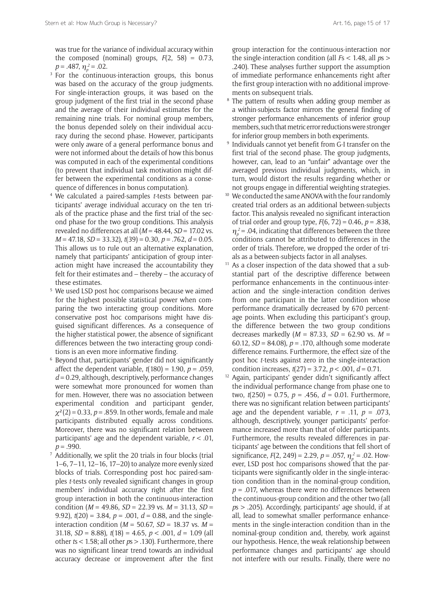was true for the variance of individual accuracy within the composed (nominal) groups,  $F(2, 58) = 0.73$ ,  $p = .487, \, \eta_p^2 = .02.$ 

- <sup>3</sup> For the continuous-interaction groups, this bonus was based on the accuracy of the group judgments. For single-interaction groups, it was based on the group judgment of the first trial in the second phase and the average of their individual estimates for the remaining nine trials. For nominal group members, the bonus depended solely on their individual accuracy during the second phase. However, participants were only aware of a general performance bonus and were not informed about the details of how this bonus was computed in each of the experimental conditions (to prevent that individual task motivation might differ between the experimental conditions as a consequence of differences in bonus computation).
- <sup>4</sup> We calculated a paired-samples *t*-tests between participants' average individual accuracy on the ten trials of the practice phase and the first trial of the second phase for the two group conditions. This analysis revealed no differences at all (*M* = 48.44, *SD* = 17.02 vs. *M* = 47.18, *SD* = 33.32), *t*(39) = 0.30, *p* = .762, *d* = 0.05. This allows us to rule out an alternative explanation, namely that participants' anticipation of group interaction might have increased the accountability they felt for their estimates and – thereby – the accuracy of these estimates.
- <sup>5</sup> We used LSD post hoc comparisons because we aimed for the highest possible statistical power when comparing the two interacting group conditions. More conservative post hoc comparisons might have disguised significant differences. As a consequence of the higher statistical power, the absence of significant differences between the two interacting group conditions is an even more informative finding.
- <sup>6</sup> Beyond that, participants' gender did not significantly affect the dependent variable, *t*(180) = 1.90, *p* = .059, *d* = 0.29, although, descriptively, performance changes were somewhat more pronounced for women than for men. However, there was no association between experimental condition and participant gender,  $\chi^2(2) = 0.33$ ,  $p = .859$ . In other words, female and male participants distributed equally across conditions. Moreover, there was no significant relation between participants' age and the dependent variable, *r* < .01,  $p = .990$ .
- $^7$  Additionally, we split the 20 trials in four blocks (trial 1–6, 7–11, 12–16, 17–20) to analyze more evenly sized blocks of trials. Corresponding post hoc paired-samples *t*-tests only revealed significant changes in group members' individual accuracy right after the first group interaction in both the continuous-interaction condition (*M* = 49.86, *SD* = 22.39 vs. *M* = 31.13, *SD* = 9.92),  $t(20) = 3.84$ ,  $p = .001$ ,  $d = 0.88$ , and the singleinteraction condition (*M* = 50.67, *SD* = 18.37 vs. *M* = 31.18, *SD* = 8.88), *t*(18) = 4.65, *p* < .001, *d* = 1.09 (all other *t*s < 1.58; all other *p*s > .130). Furthermore, there was no significant linear trend towards an individual accuracy decrease or improvement after the first

group interaction for the continuous-interaction nor the single-interaction condition (all *F*s < 1.48, all *p*s > .240). These analyses further support the assumption of immediate performance enhancements right after the first group interaction with no additional improvements on subsequent trials.

- <sup>8</sup> The pattern of results when adding group member as a within-subjects factor mirrors the general finding of stronger performance enhancements of inferior group members, such that metric error reductions were stronger for inferior group members in both experiments.
- <sup>9</sup> Individuals cannot yet benefit from G-I transfer on the first trial of the second phase. The group judgments, however, can, lead to an "unfair" advantage over the averaged previous individual judgments, which, in turn, would distort the results regarding whether or not groups engage in differential weighting strategies.
- <sup>10</sup> We conducted the same ANOVA with the four randomly created trial orders as an additional between-subjects factor. This analysis revealed no significant interaction of trial order and group type, *F*(6, 72) = 0.46, *p* = .838,  $\eta_p^2$  = .04, indicating that differences between the three conditions cannot be attributed to differences in the order of trials. Therefore, we dropped the order of trials as a between-subjects factor in all analyses.
- <sup>11</sup> As a closer inspection of the data showed that a substantial part of the descriptive difference between performance enhancements in the continuous-interaction and the single-interaction condition derives from one participant in the latter condition whose performance dramatically decreased by 670 percentage points. When excluding this participant's group, the difference between the two group conditions decreases markedly (*M* = 87.33, *SD* = 62.90 vs. *M* = 60.12, *SD* = 84.08), *p* = .170, although some moderate difference remains. Furthermore, the effect size of the post hoc *t*-tests against zero in the single-interaction condition increases, *t*(27) = 3.72, *p* < .001, *d* = 0.71.
- <sup>12</sup> Again, participants' gender didn't significantly affect the individual performance change from phase one to two, *t*(250) = 0.75, *p* = .456, *d* = 0.01. Furthermore, there was no significant relation between participants' age and the dependent variable,  $r = .11$ ,  $p = .073$ , although, descriptively, younger participants' performance increased more than that of older participants. Furthermore, the results revealed differences in participants' age between the conditions that fell short of significance,  $F(2, 249) = 2.29$ ,  $p = .057$ ,  $\eta_p^2 = .02$ . However, LSD post hoc comparisons showed that the participants were significantly older in the single-interaction condition than in the nominal-group condition,  $p = .017$ , whereas there were no differences between the continuous-group condition and the other two (all *p*s > .205). Accordingly, participants' age should, if at all, lead to somewhat smaller performance enhancements in the single-interaction condition than in the nominal-group condition and, thereby, work against our hypothesis. Hence, the weak relationship between performance changes and participants' age should not interfere with our results. Finally, there were no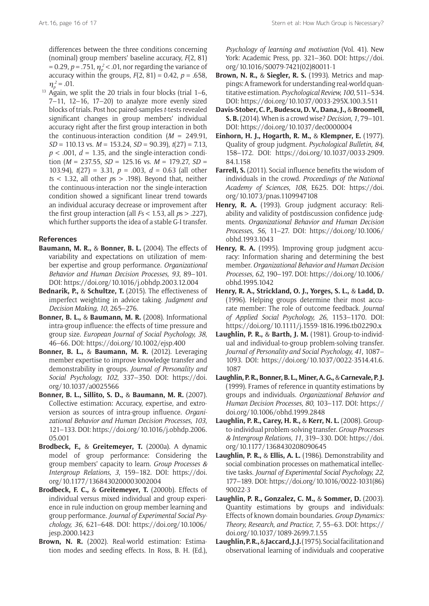differences between the three conditions concerning (nominal) group members' baseline accuracy, *F*(2, 81) = 0.29,  $p$  = .751,  $\eta_p^2$  < .01, nor regarding the variance of accuracy within the groups,  $F(2, 81) = 0.42$ ,  $p = .658$ ,  $\eta_p^2 = .01$ .

 $13$  Again, we split the 20 trials in four blocks (trial 1–6,  $7-11$ ,  $12-16$ ,  $17-20$ ) to analyze more evenly sized blocks of trials. Post hoc paired-samples *t*-tests revealed significant changes in group members' individual accuracy right after the first group interaction in both the continuous-interaction condition (*M* = 249.91, *SD* = 110.13 vs. *M* = 153.24, *SD* = 90.39), *t*(27) = 7.13,  $p < .001$ ,  $d = 1.35$ , and the single-interaction condition (*M* = 237.55, *SD* = 125.16 vs. *M* = 179.27, *SD* = 103.94), *t*(27) = 3.31, *p* = .003, *d* = 0.63 (all other *t*s < 1.32, all other *p*s > .198). Beyond that, neither the continuous-interaction nor the single-interaction condition showed a significant linear trend towards an individual accuracy decrease or improvement after the first group interaction (all *F*s < 1.53, all *p*s > .227), which further supports the idea of a stable G-I transfer.

## **References**

- **Baumann, M. R.,** & **Bonner, B. L.** (2004). The effects of variability and expectations on utilization of member expertise and group performance. *Organizational Behavior and Human Decision Processes, 93*, 89–101. DOI: <https://doi.org/10.1016/j.obhdp.2003.12.004>
- **Bednarik, P.,** & **Schultze, T.** (2015). The effectiveness of imperfect weighting in advice taking. *Judgment and Decision Making, 10*, 265–276.
- **Bonner, B. L.,** & **Baumann, M. R.** (2008). Informational intra-group influence: the effects of time pressure and group size. *European Journal of Social Psychology, 38*, 46–66. DOI: <https://doi.org/10.1002/ejsp.400>
- **Bonner, B. L.,** & **Baumann, M. R.** (2012). Leveraging member expertise to improve knowledge transfer and demonstrability in groups. *Journal of Personality and Social Psychology, 102*, 337–350. DOI: [https://doi.](https://doi.org/10.1037/a0025566) [org/10.1037/a0025566](https://doi.org/10.1037/a0025566)
- **Bonner, B. L., Sillito, S. D.,** & **Baumann, M. R.** (2007). Collective estimation: Accuracy, expertise, and extroversion as sources of intra-group influence. *Organizational Behavior and Human Decision Processes, 103*, 121–133. DOI: [https://doi.org/10.1016/j.obhdp.2006.](https://doi.org/10.1016/j.obhdp.2006.05.001) [05.001](https://doi.org/10.1016/j.obhdp.2006.05.001)
- **Brodbeck, F.,** & **Greitemeyer, T.** (2000a). A dynamic model of group performance: Considering the group members' capacity to learn. *Group Processes & Intergroup Relations, 3*, 159–182. DOI: [https://doi.](https://doi.org/10.1177/1368430200003002004) [org/10.1177/1368430200003002004](https://doi.org/10.1177/1368430200003002004)
- **Brodbeck, F. C.,** & **Greitemeyer, T.** (2000b). Effects of individual versus mixed individual and group experience in rule induction on group member learning and group performance. *Journal of Experimental Social Psychology, 36*, 621–648. DOI: [https://doi.org/10.1006/](https://doi.org/10.1006/jesp.2000.1423) [jesp.2000.1423](https://doi.org/10.1006/jesp.2000.1423)
- **Brown, N. R.** (2002). Real-world estimation: Estimation modes and seeding effects. In Ross, B. H. (Ed.),

*Psychology of learning and motivation* (Vol. 41). New York: Academic Press, pp. 321–360. DOI: [https://doi.](https://doi.org/10.1016/S0079-7421%2802%2980011-1) [org/10.1016/S0079-7421\(02\)80011-1](https://doi.org/10.1016/S0079-7421%2802%2980011-1)

- **Brown, N. R.,** & **Siegler, R. S.** (1993). Metrics and mappings: A framework for understanding real-world quantitative estimation. *Psychological Review, 100*, 511–534. DOI:<https://doi.org/10.1037/0033-295X.100.3.511>
- **Davis-Stober, C. P., Budescu, D. V., Dana, J.,** & **Broomell, S. B.** (2014). When is a crowd wise? *Decision, 1*, 79–101. DOI:<https://doi.org/10.1037/dec0000004>
- **Einhorn, H. J., Hogarth, R. M.,** & **Klempner, E.** (1977). Quality of group judgment. *Psychological Bulletin, 84*, 158–172. DOI: [https://doi.org/10.1037/0033-2909.](https://doi.org/10.1037/0033-2909.84.1.158) [84.1.158](https://doi.org/10.1037/0033-2909.84.1.158)
- **Farrell, S.** (2011). Social influence benefits the wisdom of individuals in the crowd. *Proceedings of the National Academy of Sciences, 108*, E625. DOI: [https://doi.](https://doi.org/10.1073/pnas.1109947108) [org/10.1073/pnas.1109947108](https://doi.org/10.1073/pnas.1109947108)
- **Henry, R. A.** (1993). Group judgment accuracy: Reliability and validity of postdiscussion confidence judgments. *Organizational Behavior and Human Decision Processes, 56*, 11–27. DOI: [https://doi.org/10.1006/](https://doi.org/10.1006/obhd.1993.1043) [obhd.1993.1043](https://doi.org/10.1006/obhd.1993.1043)
- **Henry, R. A.** (1995). Improving group judgment accuracy: Information sharing and determining the best member. *Organizational Behavior and Human Decision Processes, 62*, 190–197. DOI: [https://doi.org/10.1006/](https://doi.org/10.1006/obhd.1995.1042) [obhd.1995.1042](https://doi.org/10.1006/obhd.1995.1042)
- **Henry, R. A., Strickland, O. J., Yorges, S. L.,** & **Ladd, D.** (1996). Helping groups determine their most accurate member: The role of outcome feedback. *Journal of Applied Social Psychology, 26*, 1153–1170. DOI: <https://doi.org/10.1111/j.1559-1816.1996.tb02290.x>
- **Laughlin, P. R.,** & **Barth, J. M.** (1981). Group-to-individual and individual-to-group problem-solving transfer. *Journal of Personality and Social Psychology, 41*, 1087– 1093. DOI: [https://doi.org/10.1037/0022-3514.41.6.](https://doi.org/10.1037/0022-3514.41.6.1087) [1087](https://doi.org/10.1037/0022-3514.41.6.1087)
- **Laughlin, P. R., Bonner, B. L., Miner, A. G.,** & **Carnevale, P. J.** (1999). Frames of reference in quantity estimations by groups and individuals. *Organizational Behavior and Human Decision Processes, 80*, 103–117. DOI: [https://](https://doi.org/10.1006/obhd.1999.2848) [doi.org/10.1006/obhd.1999.2848](https://doi.org/10.1006/obhd.1999.2848)
- **Laughlin, P. R., Carey, H. R.,** & **Kerr, N. L.** (2008). Groupto-individual problem-solving transfer. *Group Processes & Intergroup Relations, 11*, 319–330. DOI: [https://doi.](https://doi.org/10.1177/1368430208090645) [org/10.1177/1368430208090645](https://doi.org/10.1177/1368430208090645)
- **Laughlin, P. R.,** & **Ellis, A. L.** (1986). Demonstrability and social combination processes on mathematical intellective tasks. *Journal of Experimental Social Psychology, 22*, 177–189. DOI: [https://doi.org/10.1016/0022-1031\(86\)](https://doi.org/10.1016/0022-1031%2886%2990022-3) [90022-3](https://doi.org/10.1016/0022-1031%2886%2990022-3)
- **Laughlin, P. R., Gonzalez, C. M.,** & **Sommer, D.** (2003). Quantity estimations by groups and individuals: Effects of known domain boundaries. *Group Dynamics: Theory, Research, and Practice*, *7*, 55–63. DOI: [https://](https://doi.org/10.1037/1089-2699.7.1.55) [doi.org/10.1037/1089-2699.7.1.55](https://doi.org/10.1037/1089-2699.7.1.55)
- **Laughlin, P. R.,** & **Jaccard, J. J.** (1975). Social facilitation and observational learning of individuals and cooperative